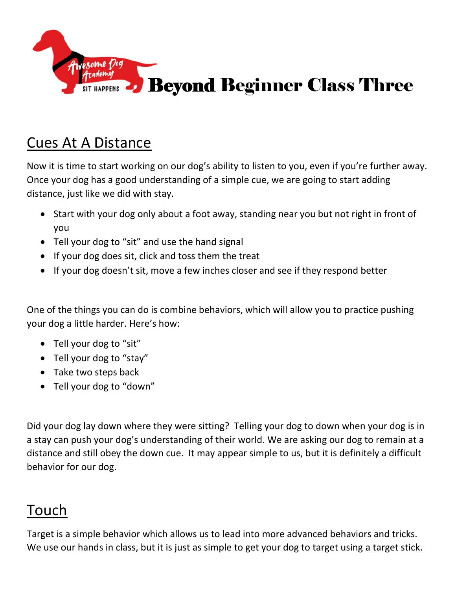

## Cues At A Distance

Now it is time to start working on our dog's ability to listen to you, even if you're further away. Once your dog has a good understanding of a simple cue, we are going to start adding distance, just like we did with stay.

- Start with your dog only about a foot away, standing near you but not right in front of you
- Tell your dog to "sit" and use the hand signal
- If your dog does sit, click and toss them the treat
- If your dog doesn't sit, move a few inches closer and see if they respond better

One of the things you can do is combine behaviors, which will allow you to practice pushing your dog a little harder. Here's how:

- Tell your dog to "sit"
- Tell your dog to "stay"
- Take two steps back
- Tell your dog to "down"

Did your dog lay down where they were sitting? Telling your dog to down when your dog is in a stay can push your dog's understanding of their world. We are asking our dog to remain at a distance and still obey the down cue. It may appear simple to us, but it is definitely a difficult behavior for our dog.

## Touch

Target is a simple behavior which allows us to lead into more advanced behaviors and tricks. We use our hands in class, but it is just as simple to get your dog to target using a target stick.